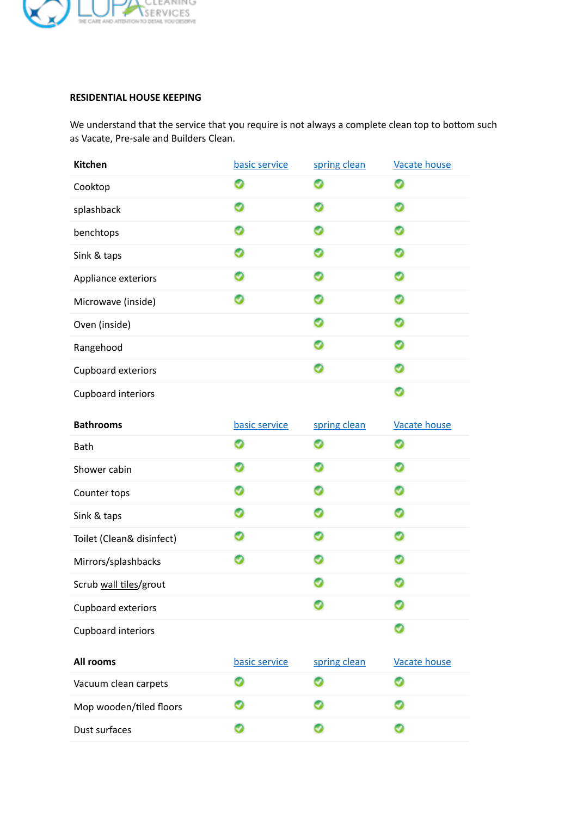

## **RESIDENTIAL HOUSE KEEPING**

We understand that the service that you require is not always a complete clean top to bottom such as Vacate, Pre-sale and Builders Clean.

| <b>Kitchen</b>      | basic service | spring clean | <b>Vacate house</b> |
|---------------------|---------------|--------------|---------------------|
| Cooktop             |               |              |                     |
| splashback          |               |              |                     |
| benchtops           |               |              |                     |
| Sink & taps         |               |              |                     |
| Appliance exteriors |               |              |                     |
| Microwave (inside)  |               |              |                     |
| Oven (inside)       |               | U            |                     |
| Rangehood           |               |              |                     |
| Cupboard exteriors  |               |              |                     |
| Cupboard interiors  |               |              |                     |

| <b>Bathrooms</b>          | basic service | spring clean | <b>Vacate house</b> |
|---------------------------|---------------|--------------|---------------------|
| <b>Bath</b>               |               |              |                     |
| Shower cabin              |               |              |                     |
| Counter tops              |               |              |                     |
| Sink & taps               |               |              |                     |
| Toilet (Clean& disinfect) |               |              |                     |
| Mirrors/splashbacks       |               |              |                     |
| Scrub wall tiles/grout    |               |              |                     |
| Cupboard exteriors        |               |              |                     |
| Cupboard interiors        |               |              |                     |

| All rooms               | basic service | spring clean | Vacate house |
|-------------------------|---------------|--------------|--------------|
| Vacuum clean carpets    |               |              |              |
| Mop wooden/tiled floors |               |              |              |
| Dust surfaces           |               |              |              |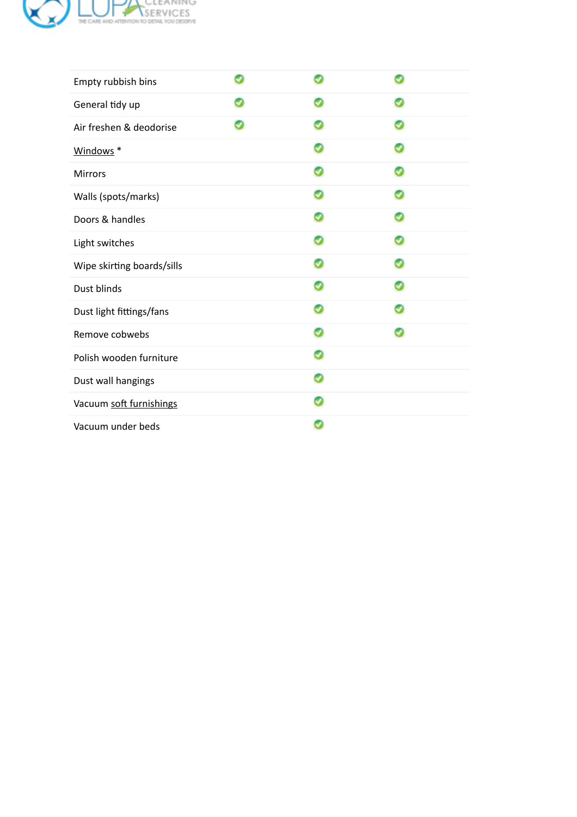

| Empty rubbish bins         |  |   |
|----------------------------|--|---|
| General tidy up            |  |   |
| Air freshen & deodorise    |  |   |
| Windows <sup>*</sup>       |  |   |
| <b>Mirrors</b>             |  |   |
| Walls (spots/marks)        |  |   |
| Doors & handles            |  |   |
| Light switches             |  | o |
| Wipe skirting boards/sills |  |   |
| Dust blinds                |  |   |
| Dust light fittings/fans   |  |   |
| Remove cobwebs             |  |   |
| Polish wooden furniture    |  |   |
| Dust wall hangings         |  |   |
| Vacuum soft furnishings    |  |   |
| Vacuum under beds          |  |   |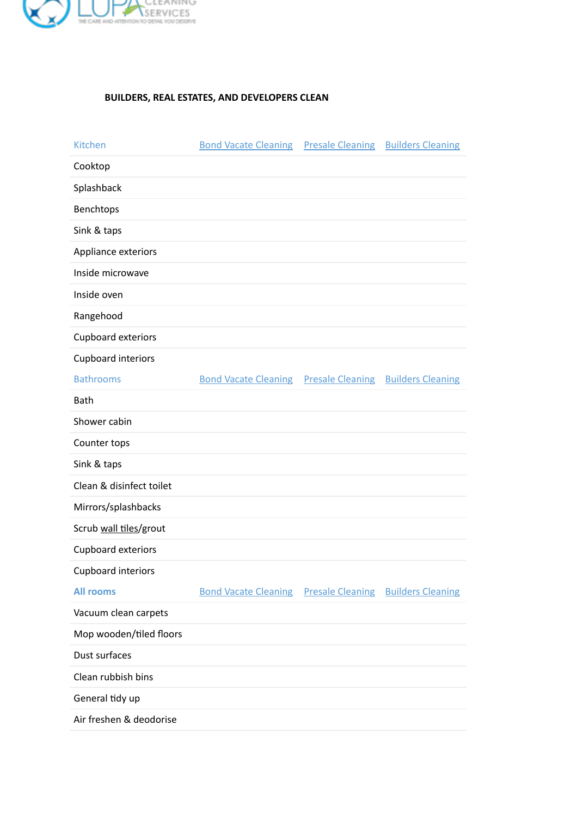

## **BUILDERS, REAL ESTATES, AND DEVELOPERS CLEAN**

| Kitchen                  | <b>Bond Vacate Cleaning</b>                                    | <b>Presale Cleaning Builders Cleaning</b> |
|--------------------------|----------------------------------------------------------------|-------------------------------------------|
| Cooktop                  |                                                                |                                           |
| Splashback               |                                                                |                                           |
| Benchtops                |                                                                |                                           |
| Sink & taps              |                                                                |                                           |
| Appliance exteriors      |                                                                |                                           |
| Inside microwave         |                                                                |                                           |
| Inside oven              |                                                                |                                           |
| Rangehood                |                                                                |                                           |
| Cupboard exteriors       |                                                                |                                           |
| Cupboard interiors       |                                                                |                                           |
| <b>Bathrooms</b>         | <b>Bond Vacate Cleaning</b>                                    | <b>Presale Cleaning Builders Cleaning</b> |
| <b>Bath</b>              |                                                                |                                           |
| Shower cabin             |                                                                |                                           |
| Counter tops             |                                                                |                                           |
| Sink & taps              |                                                                |                                           |
| Clean & disinfect toilet |                                                                |                                           |
| Mirrors/splashbacks      |                                                                |                                           |
| Scrub wall tiles/grout   |                                                                |                                           |
| Cupboard exteriors       |                                                                |                                           |
| Cupboard interiors       |                                                                |                                           |
| <b>All rooms</b>         | <b>Bond Vacate Cleaning Presale Cleaning Builders Cleaning</b> |                                           |
| Vacuum clean carpets     |                                                                |                                           |
| Mop wooden/tiled floors  |                                                                |                                           |
| Dust surfaces            |                                                                |                                           |
| Clean rubbish bins       |                                                                |                                           |
| General tidy up          |                                                                |                                           |
| Air freshen & deodorise  |                                                                |                                           |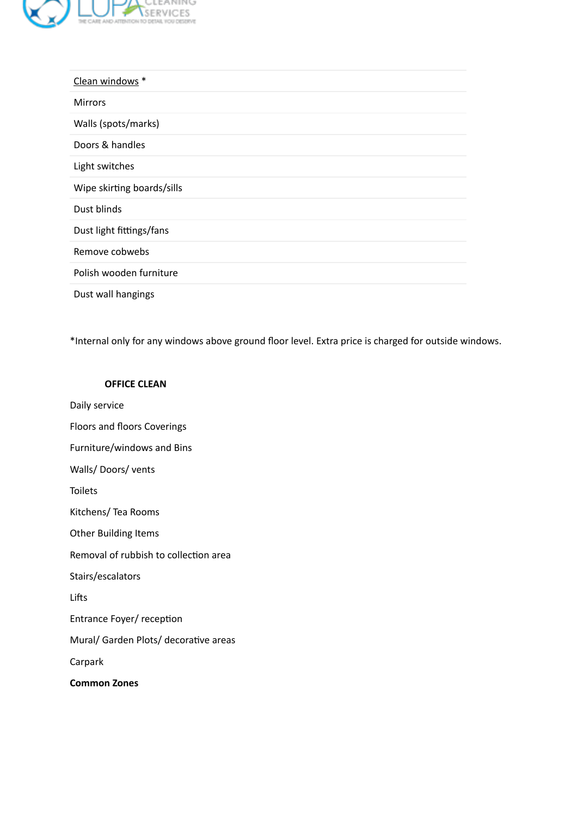

| Clean windows *            |
|----------------------------|
| <b>Mirrors</b>             |
| Walls (spots/marks)        |
| Doors & handles            |
| Light switches             |
| Wipe skirting boards/sills |
| Dust blinds                |
| Dust light fittings/fans   |
| Remove cobwebs             |
| Polish wooden furniture    |
| Dust wall hangings         |

\*Internal only for any windows above ground floor level. Extra price is charged for outside windows.

## **OFFICE CLEAN**

Daily service Floors and floors Coverings Furniture/windows and Bins Walls/ Doors/ vents Toilets Kitchens/ Tea Rooms Other Building Items Removal of rubbish to collection area Stairs/escalators Lifts Entrance Foyer/ reception Mural/ Garden Plots/ decorative areas Carpark **Common Zones**